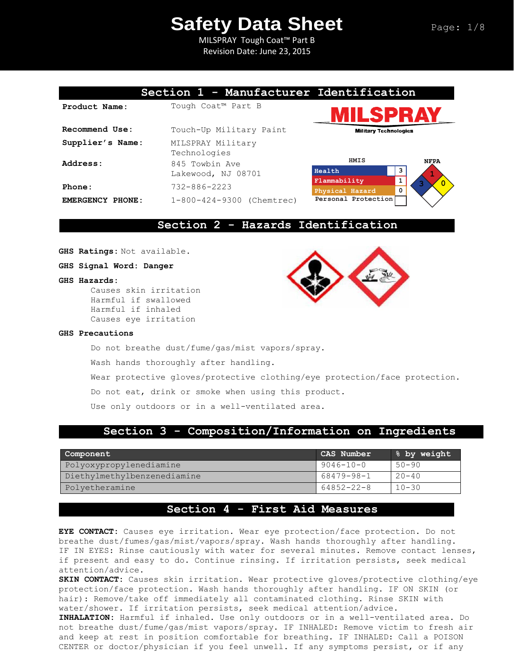MILSPRAY Tough Coat™ Part B Revision Date: June 23, 2015

# **Section 1 - Manufacturer Identification**

| Product Name:    | Tough Coat™ Part B                   |                        |
|------------------|--------------------------------------|------------------------|
| Recommend Use:   | Touch-Up Military Paint              | MIII                   |
| Supplier's Name: | MILSPRAY Military<br>Technologies    | HMIS                   |
| Address:         | 845 Towbin Ave<br>Lakewood, NJ 08701 | Health<br>Flammability |
| Phone:           | $732 - 886 - 2223$                   | Physical Haza          |
| EMERGENCY PHONE: | 1-800-424-9300 (Chemtrec)            | Personal Pro           |





## **Section 2 - Hazards Identification**

**GHS Ratings:** Not available.

**GHS Signal Word: Danger**

### **GHS Hazards:**

Causes skin irritation Harmful if swallowed Harmful if inhaled Causes eye irritation



### **GHS Precautions**

Do not breathe dust/fume/gas/mist vapors/spray.

Wash hands thoroughly after handling.

Wear protective gloves/protective clothing/eye protection/face protection.

Do not eat, drink or smoke when using this product.

Use only outdoors or in a well-ventilated area.

# **Section 3 - Composition/Information on Ingredients**

| Component                   | CAS Number      | 8 by weight |
|-----------------------------|-----------------|-------------|
| Polyoxypropylenediamine     | $9046 - 10 - 0$ | $50 - 90$   |
| Diethylmethylbenzenediamine | 68479-98-1      | $20 - 40$   |
| Polyetheramine              | 64852-22-8      | $10 - 30$   |

# **Section 4 - First Aid Measures**

**EYE CONTACT:** Causes eye irritation. Wear eye protection/face protection. Do not breathe dust/fumes/gas/mist/vapors/spray. Wash hands thoroughly after handling. IF IN EYES: Rinse cautiously with water for several minutes. Remove contact lenses, if present and easy to do. Continue rinsing. If irritation persists, seek medical attention/advice.

**SKIN CONTACT:** Causes skin irritation. Wear protective gloves/protective clothing/eye protection/face protection. Wash hands thoroughly after handling. IF ON SKIN (or hair): Remove/take off immediately all contaminated clothing. Rinse SKIN with water/shower. If irritation persists, seek medical attention/advice.

**INHALATION:** Harmful if inhaled. Use only outdoors or in a well-ventilated area. Do not breathe dust/fume/gas/mist vapors/spray. IF INHALED: Remove victim to fresh air and keep at rest in position comfortable for breathing. IF INHALED: Call a POISON CENTER or doctor/physician if you feel unwell. If any symptoms persist, or if any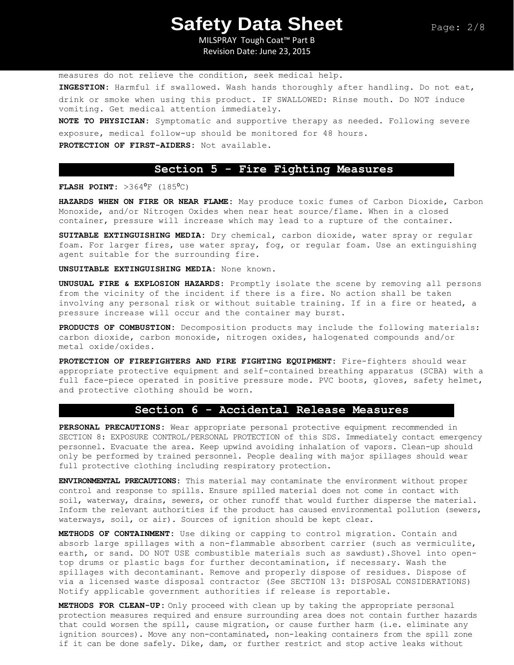MILSPRAY Tough Coat™ Part B Revision Date: June 23, 2015

measures do not relieve the condition, seek medical help.

**INGESTION:** Harmful if swallowed. Wash hands thoroughly after handling. Do not eat, drink or smoke when using this product. IF SWALLOWED: Rinse mouth. Do NOT induce vomiting. Get medical attention immediately.

**NOTE TO PHYSICIAN:** Symptomatic and supportive therapy as needed. Following severe exposure, medical follow-up should be monitored for 48 hours.

**PROTECTION OF FIRST-AIDERS:** Not available.

## **Section 5 - Fire Fighting Measures**

**FLASH POINT:** >364<sup>°</sup>F (185<sup>°</sup>C)

**HAZARDS WHEN ON FIRE OR NEAR FLAME:** May produce toxic fumes of Carbon Dioxide, Carbon Monoxide, and/or Nitrogen Oxides when near heat source/flame. When in a closed container, pressure will increase which may lead to a rupture of the container.

**SUITABLE EXTINGUISHING MEDIA:** Dry chemical, carbon dioxide, water spray or regular foam. For larger fires, use water spray, fog, or regular foam. Use an extinguishing agent suitable for the surrounding fire.

**UNSUITABLE EXTINGUISHING MEDIA:** None known.

**UNUSUAL FIRE & EXPLOSION HAZARDS:** Promptly isolate the scene by removing all persons from the vicinity of the incident if there is a fire. No action shall be taken involving any personal risk or without suitable training. If in a fire or heated, a pressure increase will occur and the container may burst.

**PRODUCTS OF COMBUSTION:** Decomposition products may include the following materials: carbon dioxide, carbon monoxide, nitrogen oxides, halogenated compounds and/or metal oxide/oxides.

**PROTECTION OF FIREFIGHTERS AND FIRE FIGHTING EQUIPMENT:** Fire-fighters should wear appropriate protective equipment and self-contained breathing apparatus (SCBA) with a full face-piece operated in positive pressure mode. PVC boots, gloves, safety helmet, and protective clothing should be worn.

## **Section 6 - Accidental Release Measures**

**PERSONAL PRECAUTIONS:** Wear appropriate personal protective equipment recommended in SECTION 8: EXPOSURE CONTROL/PERSONAL PROTECTION of this SDS. Immediately contact emergency personnel. Evacuate the area. Keep upwind avoiding inhalation of vapors. Clean-up should only be performed by trained personnel. People dealing with major spillages should wear full protective clothing including respiratory protection.

**ENVIRONMENTAL PRECAUTIONS:** This material may contaminate the environment without proper control and response to spills. Ensure spilled material does not come in contact with soil, waterway, drains, sewers, or other runoff that would further disperse the material. Inform the relevant authorities if the product has caused environmental pollution (sewers, waterways, soil, or air). Sources of ignition should be kept clear.

**METHODS OF CONTAINMENT:** Use diking or capping to control migration. Contain and absorb large spillages with a non-flammable absorbent carrier (such as vermiculite, earth, or sand. DO NOT USE combustible materials such as sawdust).Shovel into opentop drums or plastic bags for further decontamination, if necessary. Wash the spillages with decontaminant. Remove and properly dispose of residues. Dispose of via a licensed waste disposal contractor (See SECTION 13: DISPOSAL CONSIDERATIONS) Notify applicable government authorities if release is reportable.

**METHODS FOR CLEAN-UP:** Only proceed with clean up by taking the appropriate personal protection measures required and ensure surrounding area does not contain further hazards that could worsen the spill, cause migration, or cause further harm (i.e. eliminate any ignition sources). Move any non-contaminated, non-leaking containers from the spill zone if it can be done safely. Dike, dam, or further restrict and stop active leaks without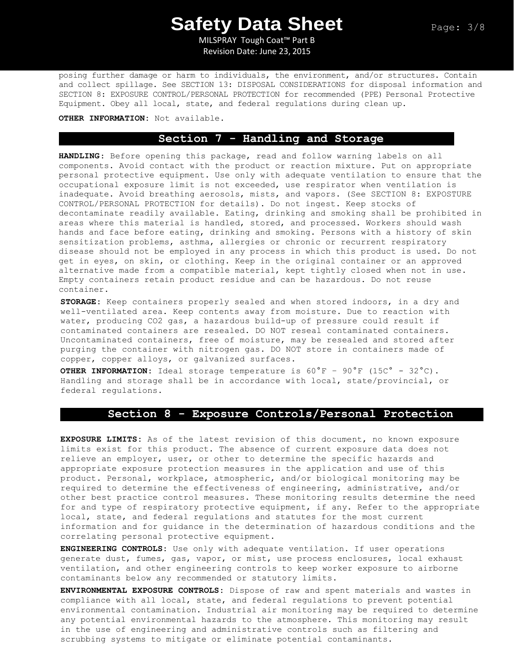MILSPRAY Tough Coat™ Part B Revision Date: June 23, 2015

posing further damage or harm to individuals, the environment, and/or structures. Contain and collect spillage. See SECTION 13: DISPOSAL CONSIDERATIONS for disposal information and SECTION 8: EXPOSURE CONTROL/PERSONAL PROTECTION for recommended (PPE) Personal Protective Equipment. Obey all local, state, and federal regulations during clean up.

### **OTHER INFORMATION:** Not available.

# **Section 7 - Handling and Storage**

**HANDLING**: Before opening this package, read and follow warning labels on all components. Avoid contact with the product or reaction mixture. Put on appropriate personal protective equipment. Use only with adequate ventilation to ensure that the occupational exposure limit is not exceeded, use respirator when ventilation is inadequate. Avoid breathing aerosols, mists, and vapors. (See SECTION 8: EXPOSTURE CONTROL/PERSONAL PROTECTION for details). Do not ingest. Keep stocks of decontaminate readily available. Eating, drinking and smoking shall be prohibited in areas where this material is handled, stored, and processed. Workers should wash hands and face before eating, drinking and smoking. Persons with a history of skin sensitization problems, asthma, allergies or chronic or recurrent respiratory disease should not be employed in any process in which this product is used. Do not get in eyes, on skin, or clothing. Keep in the original container or an approved alternative made from a compatible material, kept tightly closed when not in use. Empty containers retain product residue and can be hazardous. Do not reuse container.

**STORAGE:** Keep containers properly sealed and when stored indoors, in a dry and well-ventilated area. Keep contents away from moisture. Due to reaction with water, producing CO2 gas, a hazardous build-up of pressure could result if contaminated containers are resealed. DO NOT reseal contaminated containers. Uncontaminated containers, free of moisture, may be resealed and stored after purging the container with nitrogen gas. DO NOT store in containers made of copper, copper alloys, or galvanized surfaces.

**OTHER INFORMATION:** Ideal storage temperature is 60°F – 90°F (15C° - 32°C). Handling and storage shall be in accordance with local, state/provincial, or federal regulations.

### **Section 8 - Exposure Controls/Personal Protection**

**EXPOSURE LIMITS:** As of the latest revision of this document, no known exposure limits exist for this product. The absence of current exposure data does not relieve an employer, user, or other to determine the specific hazards and appropriate exposure protection measures in the application and use of this product. Personal, workplace, atmospheric, and/or biological monitoring may be required to determine the effectiveness of engineering, administrative, and/or other best practice control measures. These monitoring results determine the need for and type of respiratory protective equipment, if any. Refer to the appropriate local, state, and federal regulations and statutes for the most current information and for guidance in the determination of hazardous conditions and the correlating personal protective equipment.

**ENGINEERING CONTROLS:** Use only with adequate ventilation. If user operations generate dust, fumes, gas, vapor, or mist, use process enclosures, local exhaust ventilation, and other engineering controls to keep worker exposure to airborne contaminants below any recommended or statutory limits.

**ENVIRONMENTAL EXPOSURE CONTROLS:** Dispose of raw and spent materials and wastes in compliance with all local, state, and federal regulations to prevent potential environmental contamination. Industrial air monitoring may be required to determine any potential environmental hazards to the atmosphere. This monitoring may result in the use of engineering and administrative controls such as filtering and scrubbing systems to mitigate or eliminate potential contaminants.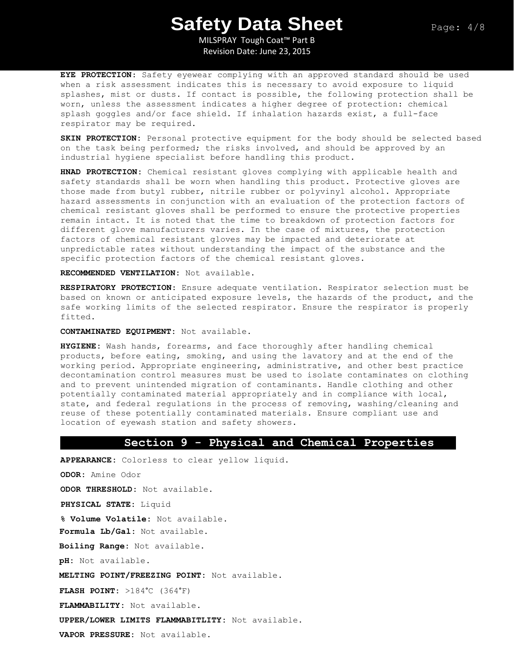MILSPRAY Tough Coat™ Part B Revision Date: June 23, 2015

**EYE PROTECTION**: Safety eyewear complying with an approved standard should be used when a risk assessment indicates this is necessary to avoid exposure to liquid splashes, mist or dusts. If contact is possible, the following protection shall be worn, unless the assessment indicates a higher degree of protection: chemical splash goggles and/or face shield. If inhalation hazards exist, a full-face respirator may be required.

**SKIN PROTECTION:** Personal protective equipment for the body should be selected based on the task being performed; the risks involved, and should be approved by an industrial hygiene specialist before handling this product.

**HNAD PROTECTION:** Chemical resistant gloves complying with applicable health and safety standards shall be worn when handling this product. Protective gloves are those made from butyl rubber, nitrile rubber or polyvinyl alcohol. Appropriate hazard assessments in conjunction with an evaluation of the protection factors of chemical resistant gloves shall be performed to ensure the protective properties remain intact. It is noted that the time to breakdown of protection factors for different glove manufacturers varies. In the case of mixtures, the protection factors of chemical resistant gloves may be impacted and deteriorate at unpredictable rates without understanding the impact of the substance and the specific protection factors of the chemical resistant gloves.

**RECOMMENDED VENTILATION:** Not available.

**RESPIRATORY PROTECTION**: Ensure adequate ventilation. Respirator selection must be based on known or anticipated exposure levels, the hazards of the product, and the safe working limits of the selected respirator. Ensure the respirator is properly fitted.

**CONTAMINATED EQUIPMENT:** Not available.

**HYGIENE:** Wash hands, forearms, and face thoroughly after handling chemical products, before eating, smoking, and using the lavatory and at the end of the working period. Appropriate engineering, administrative, and other best practice decontamination control measures must be used to isolate contaminates on clothing and to prevent unintended migration of contaminants. Handle clothing and other potentially contaminated material appropriately and in compliance with local, state, and federal regulations in the process of removing, washing/cleaning and reuse of these potentially contaminated materials. Ensure compliant use and location of eyewash station and safety showers.

## **Section 9 - Physical and Chemical Properties**

**APPEARANCE:** Colorless to clear yellow liquid. **ODOR:** Amine Odor **ODOR THRESHOLD:** Not available. **PHYSICAL STATE:** Liquid **% Volume Volatile:** Not available. **Formula Lb/Gal:** Not available. **Boiling Range:** Not available. **pH:** Not available. **MELTING POINT/FREEZING POINT:** Not available. **FLASH POINT:** >184°C (364°F) **FLAMMABILITY:** Not available. **UPPER/LOWER LIMITS FLAMMABITLITY:** Not available. **VAPOR PRESSURE:** Not available.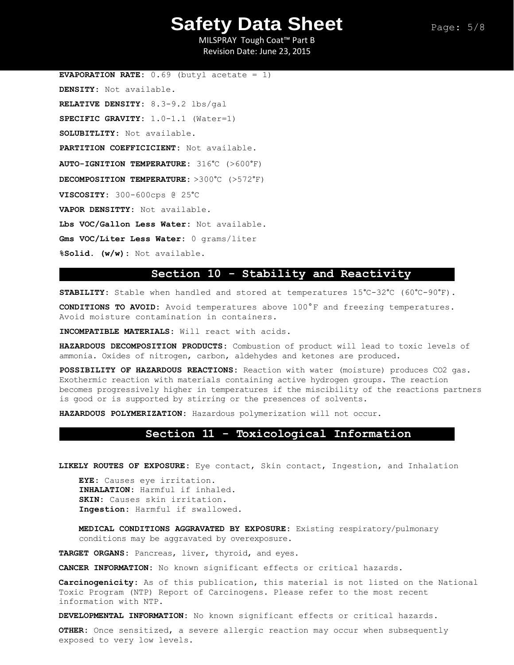MILSPRAY Tough Coat™ Part B Revision Date: June 23, 2015

**EVAPORATION RATE:** 0.69 (butyl acetate = 1) **DENSITY:** Not available. **RELATIVE DENSITY:** 8.3-9.2 lbs/gal **SPECIFIC GRAVITY:** 1.0-1.1 (Water=1) **SOLUBITLITY:** Not available. **PARTITION COEFFICICIENT:** Not available. **AUTO-IGNITION TEMPERATURE:** 316°C (>600°F) **DECOMPOSITION TEMPERATURE:** >300°C (>572°F) **VISCOSITY:** 300-600cps @ 25°C **VAPOR DENSITTY:** Not available. **Lbs VOC/Gallon Less Water:** Not available. **Gms VOC/Liter Less Water:** 0 grams/liter **%Solid. (w/w):** Not available.

# **Section 10 - Stability and Reactivity**

**STABILITY:** Stable when handled and stored at temperatures 15°C-32°C (60°C-90°F).

**CONDITIONS TO AVOID:** Avoid temperatures above 100°F and freezing temperatures. Avoid moisture contamination in containers.

**INCOMPATIBLE MATERIALS:** Will react with acids.

**HAZARDOUS DECOMPOSITION PRODUCTS:** Combustion of product will lead to toxic levels of ammonia. Oxides of nitrogen, carbon, aldehydes and ketones are produced.

**POSSIBILITY OF HAZARDOUS REACTIONS:** Reaction with water (moisture) produces CO2 gas. Exothermic reaction with materials containing active hydrogen groups. The reaction becomes progressively higher in temperatures if the miscibility of the reactions partners is good or is supported by stirring or the presences of solvents.

**HAZARDOUS POLYMERIZATION:** Hazardous polymerization will not occur.

### **Section 11 - Toxicological Information**

**LIKELY ROUTES OF EXPOSURE:** Eye contact, Skin contact, Ingestion, and Inhalation

**EYE:** Causes eye irritation. **INHALATION:** Harmful if inhaled. **SKIN:** Causes skin irritation. **Ingestion:** Harmful if swallowed.

**MEDICAL CONDITIONS AGGRAVATED BY EXPOSURE:** Existing respiratory/pulmonary conditions may be aggravated by overexposure.

**TARGET ORGANS:** Pancreas, liver, thyroid, and eyes.

**CANCER INFORMATION:** No known significant effects or critical hazards.

**Carcinogenicity:** As of this publication, this material is not listed on the National Toxic Program (NTP) Report of Carcinogens. Please refer to the most recent information with NTP.

**DEVELOPMENTAL INFORMATION:** No known significant effects or critical hazards.

**OTHER:** Once sensitized, a severe allergic reaction may occur when subsequently exposed to very low levels.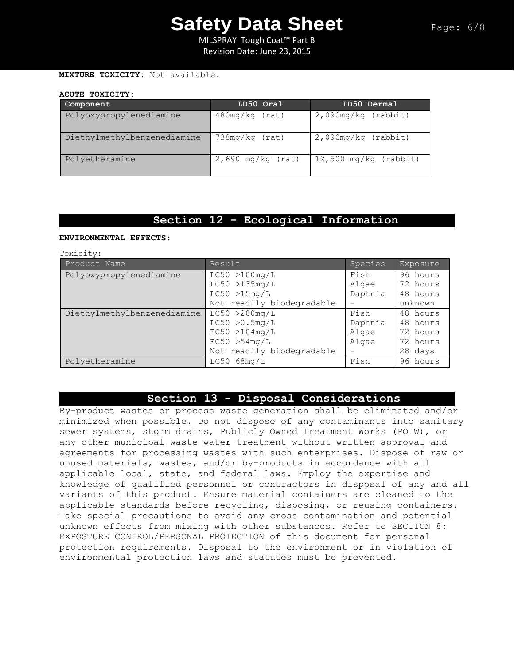MILSPRAY Tough Coat™ Part B Revision Date: June 23, 2015

### **MIXTURE TOXICITY:** Not available.

### **ACUTE TOXICITY:**

| Component                   | LD50 Oral           | LD50 Dermal             |
|-----------------------------|---------------------|-------------------------|
| Polyoxypropylenediamine     | $480mg/kg$ (rat)    | $2,090$ mg/kg (rabbit)  |
| Diethylmethylbenzenediamine | 738mg/kg (rat)      | $2,090$ mg/kg (rabbit)  |
| Polyetheramine              | $2,690$ mg/kg (rat) | $12,500$ mg/kg (rabbit) |

# **Section 12 - Ecological Information**

### **ENVIRONMENTAL EFFECTS:**

Toxicity:

| Product Name                | Result                    | Species | Exposure |
|-----------------------------|---------------------------|---------|----------|
| Polyoxypropylenediamine     | LC50 > 100mg/L            | Fish    | 96 hours |
|                             | LC50 > 135mg/L            | Algae   | 72 hours |
|                             | LC50 > 15mg/L             | Daphnia | 48 hours |
|                             | Not readily biodegradable |         | unknown  |
| Diethylmethylbenzenediamine | LC50 > 200mg/L            | Fish    | 48 hours |
|                             | LC50 > 0.5mg/L            | Daphnia | 48 hours |
|                             | EC50 >104mg/L             | Algae   | 72 hours |
|                             | EC50 > 54mg/L             | Algae   | 72 hours |
|                             | Not readily biodegradable |         | 28 days  |
| Polyetheramine              | $LC50$ 68mg/L             | Fish    | 96 hours |

# **Section 13 - Disposal Considerations**

By-product wastes or process waste generation shall be eliminated and/or minimized when possible. Do not dispose of any contaminants into sanitary sewer systems, storm drains, Publicly Owned Treatment Works (POTW), or any other municipal waste water treatment without written approval and agreements for processing wastes with such enterprises. Dispose of raw or unused materials, wastes, and/or by-products in accordance with all applicable local, state, and federal laws. Employ the expertise and knowledge of qualified personnel or contractors in disposal of any and all variants of this product. Ensure material containers are cleaned to the applicable standards before recycling, disposing, or reusing containers. Take special precautions to avoid any cross contamination and potential unknown effects from mixing with other substances. Refer to SECTION 8: EXPOSTURE CONTROL/PERSONAL PROTECTION of this document for personal protection requirements. Disposal to the environment or in violation of environmental protection laws and statutes must be prevented.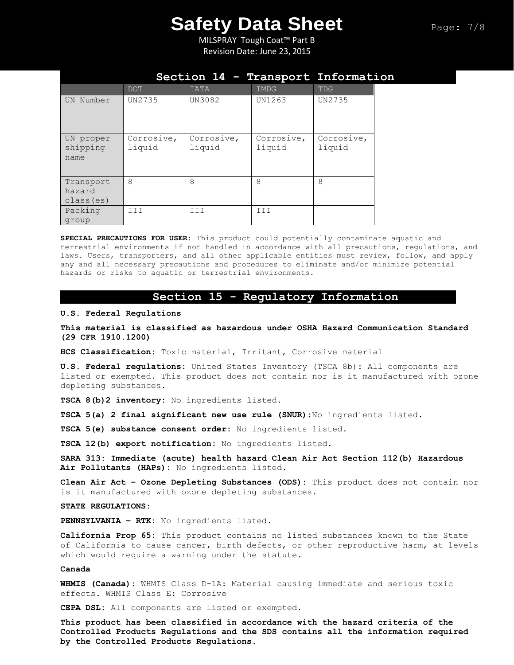MILSPRAY Tough Coat™ Part B Revision Date: June 23, 2015

|                                   | Section 14 - Transport Information |                      |                      |                      |  |
|-----------------------------------|------------------------------------|----------------------|----------------------|----------------------|--|
|                                   | <b>DOT</b>                         | <b>IATA</b>          | IMDG                 | TDG                  |  |
| Number<br><b>UN</b>               | UN2735                             | UN3082               | UN1263               | UN2735               |  |
| UN proper<br>shipping<br>name     | Corrosive,<br>liquid               | Corrosive,<br>liquid | Corrosive,<br>liquid | Corrosive,<br>liquid |  |
| Transport<br>hazard<br>class (es) | 8                                  | 8                    | 8                    | 8                    |  |
| Packing<br>group                  | III                                | III                  | III                  |                      |  |

**SPECIAL PRECAUTIONS FOR USER:** This product could potentially contaminate aquatic and terrestrial environments if not handled in accordance with all precautions, regulations, and laws. Users, transporters, and all other applicable entities must review, follow, and apply any and all necessary precautions and procedures to eliminate and/or minimize potential hazards or risks to aquatic or terrestrial environments.

## **Section 15 - Regulatory Information**

### **U.S. Federal Regulations**

**This material is classified as hazardous under OSHA Hazard Communication Standard (29 CFR 1910.1200)**

**HCS Classification:** Toxic material, Irritant, Corrosive material

**U.S. Federal regulations:** United States Inventory (TSCA 8b): All components are listed or exempted. This product does not contain nor is it manufactured with ozone depleting substances.

**TSCA 8(b)2 inventory:** No ingredients listed.

**TSCA 5(a) 2 final significant new use rule (SNUR):**No ingredients listed.

**TSCA 5(e) substance consent order:** No ingredients listed.

**TSCA 12(b) export notification:** No ingredients listed.

**SARA 313: Immediate (acute) health hazard Clean Air Act Section 112(b) Hazardous Air Pollutants (HAPs):** No ingredients listed.

**Clean Air Act – Ozone Depleting Substances (ODS):** This product does not contain nor is it manufactured with ozone depleting substances.

### **STATE REGULATIONS:**

**PENNSYLVANIA – RTK:** No ingredients listed.

**California Prop 65:** This product contains no listed substances known to the State of California to cause cancer, birth defects, or other reproductive harm, at levels which would require a warning under the statute.

### **Canada**

**WHMIS (Canada):** WHMIS Class D-1A: Material causing immediate and serious toxic effects. WHMIS Class E: Corrosive

**CEPA DSL:** All components are listed or exempted.

**This product has been classified in accordance with the hazard criteria of the Controlled Products Regulations and the SDS contains all the information required by the Controlled Products Regulations.**